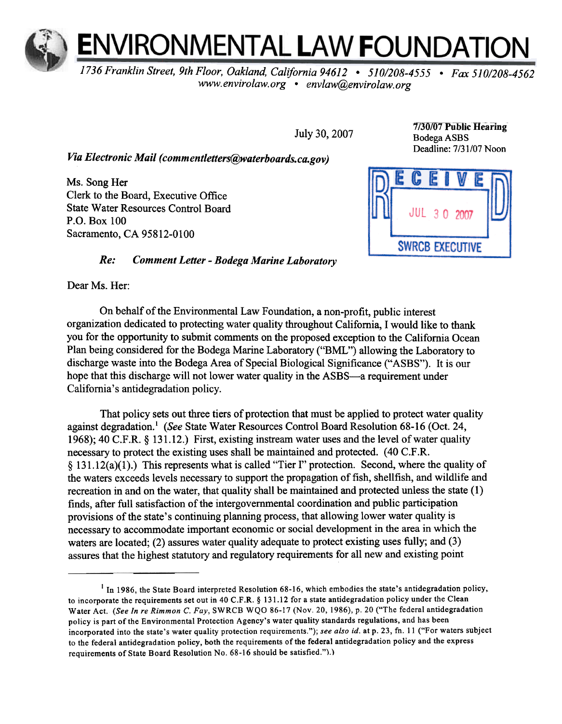

1736 Franklin Street, 9th Floor, Oakland, California 94612 . 510/208-4555 . Fax 510/208-4562 www.envirolaw.org . envlaw@envirolaw.org

July 30, 2007

Via Electronic Mail (commentletters@waterboards.ca.gov)

Ms. Song Her Clerk to the Board, Executive Office State Water Resources Control Board P.O. Box 100 Sacramento, CA 95812-0100

## $Re:$ Comment Letter -Bodega Marine Laboratory

Dear Ms. Her:

On behalf of the Environmental Law Foundation, a non-profit, public interest organization dedicated to protecting water quality throughout California, I would like to thank you for the opportunity to submit comments on the proposed exception to the California Ocean Plan being considered for the Bodega Marine Laboratory ("BML") allowing the Laboratory to discharge waste into the Bodega Area of Special Biological Significance (" ASBS"). It is our hope that this discharge will not lower water quality in the ASBS-a requirement under California's antidegradation policy.

That policy sets out three tiers of protection that must be applied to protect water quality against degradation.' (See State Water Resources Control Board Resolution 68-16 (Oct. 24, 1968); 40 C.F.R. § 131.12.) First, existing instream water uses and the level of water quality necessary to protect the existing uses shall be maintained and protected. (40 C.F.R. § 131.12(a)(1).) This represents what is called "Tier !" protection. Second, where the quality of the waters exceeds levels necessary to support the propagation of fish, shellfish, and wildlife and recreation in and on the water, that quality shall be maintained and protected unless the state (1) finds, after full satisfaction of the intergovernmental coordination and public participation provisions of the state's continuing planning process, that allowing lower water quality is necessary to accommodate important economic or social development in the area in which the waters are located; (2) assures water quality adequate to protect existing uses fully; and (3) assures that the highest statutory and regulatory requirements for all new and existing point

7/30/07 Public Hearing Bodega ASBS Deadline: 7/31/07 Noon



<sup>&</sup>lt;sup>1</sup> In 1986, the State Board interpreted Resolution 68-16, which embodies the state's antidegradation policy, to incorporate the requirements set out in 40 C.F.R. § 131.12 for a state antidegradation policy under the Clean Water Act. (See In re Rimmon C. Fay, SWRCB WQO 86-17 (Nov. 20, 1986), p. 20 ("The federal antidegradation policy is part of the Environmental Protection Agency's water quality standards regulations, and has been incorporated into the state's water quality protection requirements."); see also id. at p. 23, fn. 11 ("For waters subject to the federal antidegradation policy, both the requirements of the federal antidegradation policy and the express requirements of State Board Resolution No. 68-16 should be satisfied.").)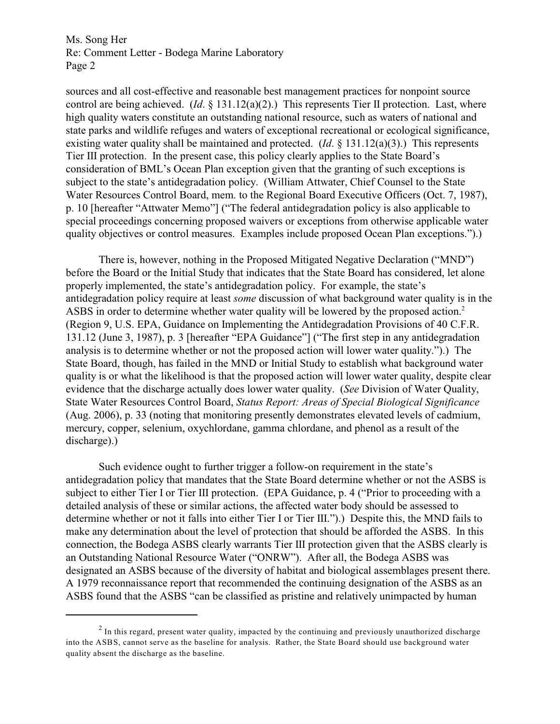Ms. Song Her Re: Comment Letter - Bodega Marine Laboratory Page 2

sources and all cost-effective and reasonable best management practices for nonpoint source control are being achieved. (*Id*. § 131.12(a)(2).) This represents Tier II protection. Last, where high quality waters constitute an outstanding national resource, such as waters of national and state parks and wildlife refuges and waters of exceptional recreational or ecological significance, existing water quality shall be maintained and protected. (*Id*. § 131.12(a)(3).) This represents Tier III protection. In the present case, this policy clearly applies to the State Board's consideration of BML's Ocean Plan exception given that the granting of such exceptions is subject to the state's antidegradation policy. (William Attwater, Chief Counsel to the State Water Resources Control Board, mem. to the Regional Board Executive Officers (Oct. 7, 1987), p. 10 [hereafter "Attwater Memo"] ("The federal antidegradation policy is also applicable to special proceedings concerning proposed waivers or exceptions from otherwise applicable water quality objectives or control measures. Examples include proposed Ocean Plan exceptions.").)

There is, however, nothing in the Proposed Mitigated Negative Declaration ("MND") before the Board or the Initial Study that indicates that the State Board has considered, let alone properly implemented, the state's antidegradation policy. For example, the state's antidegradation policy require at least *some* discussion of what background water quality is in the ASBS in order to determine whether water quality will be lowered by the proposed action.<sup>2</sup> (Region 9, U.S. EPA, Guidance on Implementing the Antidegradation Provisions of 40 C.F.R. 131.12 (June 3, 1987), p. 3 [hereafter "EPA Guidance"] ("The first step in any antidegradation analysis is to determine whether or not the proposed action will lower water quality.").) The State Board, though, has failed in the MND or Initial Study to establish what background water quality is or what the likelihood is that the proposed action will lower water quality, despite clear evidence that the discharge actually does lower water quality. (*See* Division of Water Quality, State Water Resources Control Board, *Status Report: Areas of Special Biological Significance* (Aug. 2006), p. 33 (noting that monitoring presently demonstrates elevated levels of cadmium, mercury, copper, selenium, oxychlordane, gamma chlordane, and phenol as a result of the discharge).)

Such evidence ought to further trigger a follow-on requirement in the state's antidegradation policy that mandates that the State Board determine whether or not the ASBS is subject to either Tier I or Tier III protection. (EPA Guidance, p. 4 ("Prior to proceeding with a detailed analysis of these or similar actions, the affected water body should be assessed to determine whether or not it falls into either Tier I or Tier III.").) Despite this, the MND fails to make any determination about the level of protection that should be afforded the ASBS. In this connection, the Bodega ASBS clearly warrants Tier III protection given that the ASBS clearly is an Outstanding National Resource Water ("ONRW"). After all, the Bodega ASBS was designated an ASBS because of the diversity of habitat and biological assemblages present there. A 1979 reconnaissance report that recommended the continuing designation of the ASBS as an ASBS found that the ASBS "can be classified as pristine and relatively unimpacted by human

 $<sup>2</sup>$  In this regard, present water quality, impacted by the continuing and previously unauthorized discharge</sup> into the ASBS, cannot serve as the baseline for analysis. Rather, the State Board should use background water quality absent the discharge as the baseline.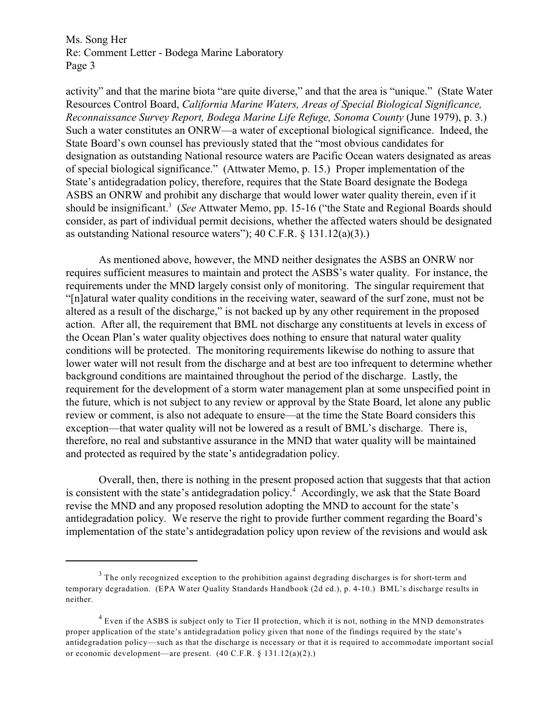Ms. Song Her Re: Comment Letter - Bodega Marine Laboratory Page 3

activity" and that the marine biota "are quite diverse," and that the area is "unique." (State Water Resources Control Board, *California Marine Waters, Areas of Special Biological Significance, Reconnaissance Survey Report, Bodega Marine Life Refuge, Sonoma County* (June 1979), p. 3.) Such a water constitutes an ONRW—a water of exceptional biological significance. Indeed, the State Board's own counsel has previously stated that the "most obvious candidates for designation as outstanding National resource waters are Pacific Ocean waters designated as areas of special biological significance." (Attwater Memo, p. 15.) Proper implementation of the State's antidegradation policy, therefore, requires that the State Board designate the Bodega ASBS an ONRW and prohibit any discharge that would lower water quality therein, even if it should be insignificant.<sup>3</sup> (*See* Attwater Memo, pp. 15-16 ("the State and Regional Boards should consider, as part of individual permit decisions, whether the affected waters should be designated as outstanding National resource waters"); 40 C.F.R. § 131.12(a)(3).)

As mentioned above, however, the MND neither designates the ASBS an ONRW nor requires sufficient measures to maintain and protect the ASBS's water quality. For instance, the requirements under the MND largely consist only of monitoring. The singular requirement that "[n]atural water quality conditions in the receiving water, seaward of the surf zone, must not be altered as a result of the discharge," is not backed up by any other requirement in the proposed action. After all, the requirement that BML not discharge any constituents at levels in excess of the Ocean Plan's water quality objectives does nothing to ensure that natural water quality conditions will be protected. The monitoring requirements likewise do nothing to assure that lower water will not result from the discharge and at best are too infrequent to determine whether background conditions are maintained throughout the period of the discharge. Lastly, the requirement for the development of a storm water management plan at some unspecified point in the future, which is not subject to any review or approval by the State Board, let alone any public review or comment, is also not adequate to ensure—at the time the State Board considers this exception—that water quality will not be lowered as a result of BML's discharge. There is, therefore, no real and substantive assurance in the MND that water quality will be maintained and protected as required by the state's antidegradation policy.

Overall, then, there is nothing in the present proposed action that suggests that that action is consistent with the state's antidegradation policy. $4$  Accordingly, we ask that the State Board revise the MND and any proposed resolution adopting the MND to account for the state's antidegradation policy. We reserve the right to provide further comment regarding the Board's implementation of the state's antidegradation policy upon review of the revisions and would ask

 $3$  The only recognized exception to the prohibition against degrading discharges is for short-term and temporary degradation. (EPA Water Quality Standards Handbook (2d ed.), p. 4-10.) BML's discharge results in neither.

 $4$  Even if the ASBS is subject only to Tier II protection, which it is not, nothing in the MND demonstrates proper application of the state's antidegradation policy given that none of the findings required by the state's antidegradation policy—such as that the discharge is necessary or that it is required to accommodate important social or economic development—are present. (40 C.F.R. § 131.12(a)(2).)